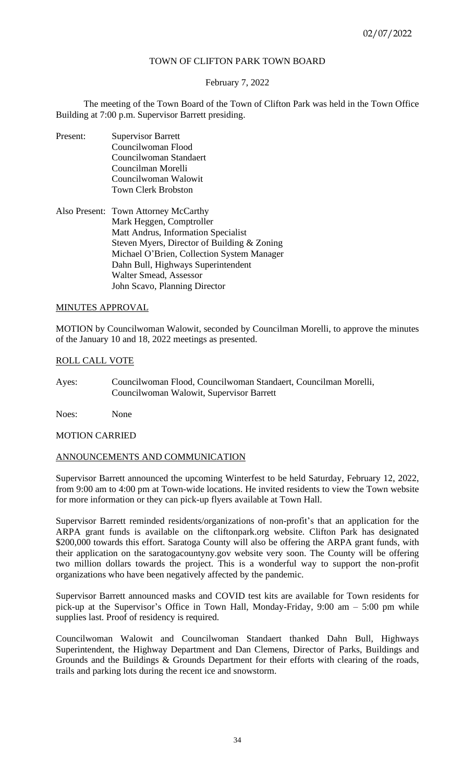# TOWN OF CLIFTON PARK TOWN BOARD

# February 7, 2022

The meeting of the Town Board of the Town of Clifton Park was held in the Town Office Building at 7:00 p.m. Supervisor Barrett presiding.

- Present: Supervisor Barrett Councilwoman Flood Councilwoman Standaert Councilman Morelli Councilwoman Walowit Town Clerk Brobston
- Also Present: Town Attorney McCarthy Mark Heggen, Comptroller Matt Andrus, Information Specialist Steven Myers, Director of Building & Zoning Michael O'Brien, Collection System Manager Dahn Bull, Highways Superintendent Walter Smead, Assessor John Scavo, Planning Director

## MINUTES APPROVAL

MOTION by Councilwoman Walowit, seconded by Councilman Morelli, to approve the minutes of the January 10 and 18, 2022 meetings as presented.

## ROLL CALL VOTE

Ayes: Councilwoman Flood, Councilwoman Standaert, Councilman Morelli, Councilwoman Walowit, Supervisor Barrett

Noes: None

## MOTION CARRIED

## ANNOUNCEMENTS AND COMMUNICATION

Supervisor Barrett announced the upcoming Winterfest to be held Saturday, February 12, 2022, from 9:00 am to 4:00 pm at Town-wide locations. He invited residents to view the Town website for more information or they can pick-up flyers available at Town Hall.

Supervisor Barrett reminded residents/organizations of non-profit's that an application for the ARPA grant funds is available on the cliftonpark.org website. Clifton Park has designated \$200,000 towards this effort. Saratoga County will also be offering the ARPA grant funds, with their application on the saratogacountyny.gov website very soon. The County will be offering two million dollars towards the project. This is a wonderful way to support the non-profit organizations who have been negatively affected by the pandemic.

Supervisor Barrett announced masks and COVID test kits are available for Town residents for pick-up at the Supervisor's Office in Town Hall, Monday-Friday, 9:00 am – 5:00 pm while supplies last. Proof of residency is required.

Councilwoman Walowit and Councilwoman Standaert thanked Dahn Bull, Highways Superintendent, the Highway Department and Dan Clemens, Director of Parks, Buildings and Grounds and the Buildings & Grounds Department for their efforts with clearing of the roads, trails and parking lots during the recent ice and snowstorm.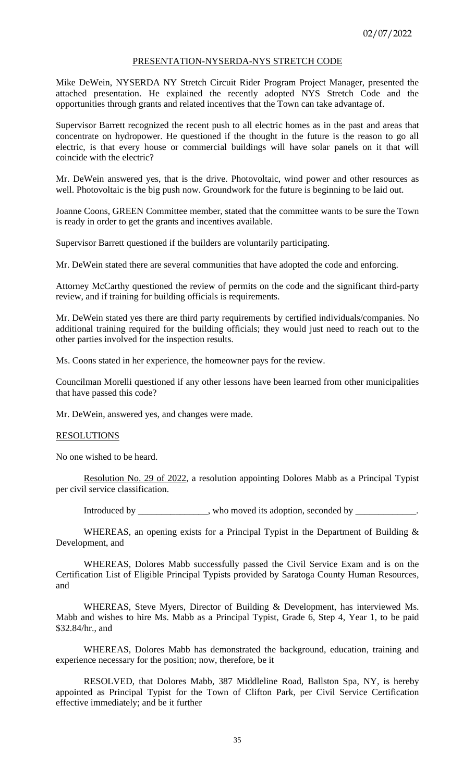## PRESENTATION-NYSERDA-NYS STRETCH CODE

Mike DeWein, NYSERDA NY Stretch Circuit Rider Program Project Manager, presented the attached presentation. He explained the recently adopted NYS Stretch Code and the opportunities through grants and related incentives that the Town can take advantage of.

Supervisor Barrett recognized the recent push to all electric homes as in the past and areas that concentrate on hydropower. He questioned if the thought in the future is the reason to go all electric, is that every house or commercial buildings will have solar panels on it that will coincide with the electric?

Mr. DeWein answered yes, that is the drive. Photovoltaic, wind power and other resources as well. Photovoltaic is the big push now. Groundwork for the future is beginning to be laid out.

Joanne Coons, GREEN Committee member, stated that the committee wants to be sure the Town is ready in order to get the grants and incentives available.

Supervisor Barrett questioned if the builders are voluntarily participating.

Mr. DeWein stated there are several communities that have adopted the code and enforcing.

Attorney McCarthy questioned the review of permits on the code and the significant third-party review, and if training for building officials is requirements.

Mr. DeWein stated yes there are third party requirements by certified individuals/companies. No additional training required for the building officials; they would just need to reach out to the other parties involved for the inspection results.

Ms. Coons stated in her experience, the homeowner pays for the review.

Councilman Morelli questioned if any other lessons have been learned from other municipalities that have passed this code?

Mr. DeWein, answered yes, and changes were made.

## **RESOLUTIONS**

No one wished to be heard.

Resolution No. 29 of 2022, a resolution appointing Dolores Mabb as a Principal Typist per civil service classification.

Introduced by who moved its adoption, seconded by  $\blacksquare$ 

WHEREAS, an opening exists for a Principal Typist in the Department of Building & Development, and

WHEREAS, Dolores Mabb successfully passed the Civil Service Exam and is on the Certification List of Eligible Principal Typists provided by Saratoga County Human Resources, and

WHEREAS, Steve Myers, Director of Building & Development, has interviewed Ms. Mabb and wishes to hire Ms. Mabb as a Principal Typist, Grade 6, Step 4, Year 1, to be paid \$32.84/hr., and

WHEREAS, Dolores Mabb has demonstrated the background, education, training and experience necessary for the position; now, therefore, be it

RESOLVED, that Dolores Mabb, 387 Middleline Road, Ballston Spa, NY, is hereby appointed as Principal Typist for the Town of Clifton Park, per Civil Service Certification effective immediately; and be it further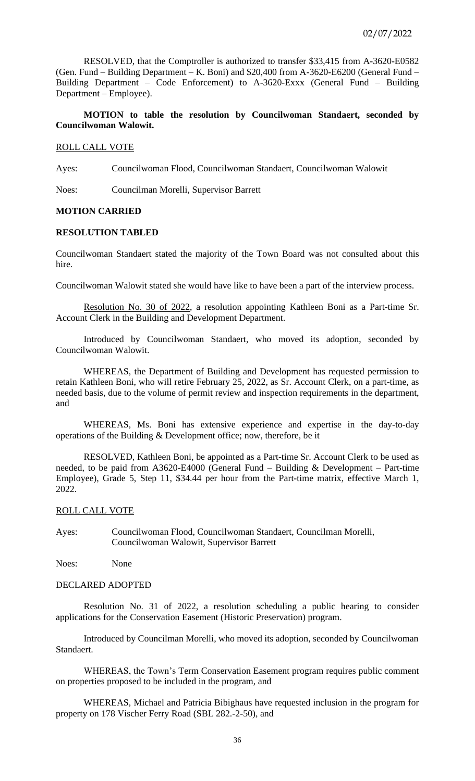RESOLVED, that the Comptroller is authorized to transfer \$33,415 from A-3620-E0582 (Gen. Fund – Building Department – K. Boni) and \$20,400 from A-3620-E6200 (General Fund – Building Department – Code Enforcement) to A-3620-Exxx (General Fund – Building Department – Employee).

**MOTION to table the resolution by Councilwoman Standaert, seconded by Councilwoman Walowit.**

## ROLL CALL VOTE

Ayes: Councilwoman Flood, Councilwoman Standaert, Councilwoman Walowit

Noes: Councilman Morelli, Supervisor Barrett

## **MOTION CARRIED**

## **RESOLUTION TABLED**

Councilwoman Standaert stated the majority of the Town Board was not consulted about this hire.

Councilwoman Walowit stated she would have like to have been a part of the interview process.

Resolution No. 30 of 2022, a resolution appointing Kathleen Boni as a Part-time Sr. Account Clerk in the Building and Development Department.

Introduced by Councilwoman Standaert, who moved its adoption, seconded by Councilwoman Walowit.

WHEREAS, the Department of Building and Development has requested permission to retain Kathleen Boni, who will retire February 25, 2022, as Sr. Account Clerk, on a part-time, as needed basis, due to the volume of permit review and inspection requirements in the department, and

WHEREAS, Ms. Boni has extensive experience and expertise in the day-to-day operations of the Building & Development office; now, therefore, be it

RESOLVED, Kathleen Boni, be appointed as a Part-time Sr. Account Clerk to be used as needed, to be paid from A3620-E4000 (General Fund – Building & Development – Part-time Employee), Grade 5, Step 11, \$34.44 per hour from the Part-time matrix, effective March 1, 2022.

## ROLL CALL VOTE

Ayes: Councilwoman Flood, Councilwoman Standaert, Councilman Morelli, Councilwoman Walowit, Supervisor Barrett

Noes: None

## DECLARED ADOPTED

Resolution No. 31 of 2022, a resolution scheduling a public hearing to consider applications for the Conservation Easement (Historic Preservation) program.

Introduced by Councilman Morelli, who moved its adoption, seconded by Councilwoman Standaert.

WHEREAS, the Town's Term Conservation Easement program requires public comment on properties proposed to be included in the program, and

WHEREAS, Michael and Patricia Bibighaus have requested inclusion in the program for property on 178 Vischer Ferry Road (SBL 282.-2-50), and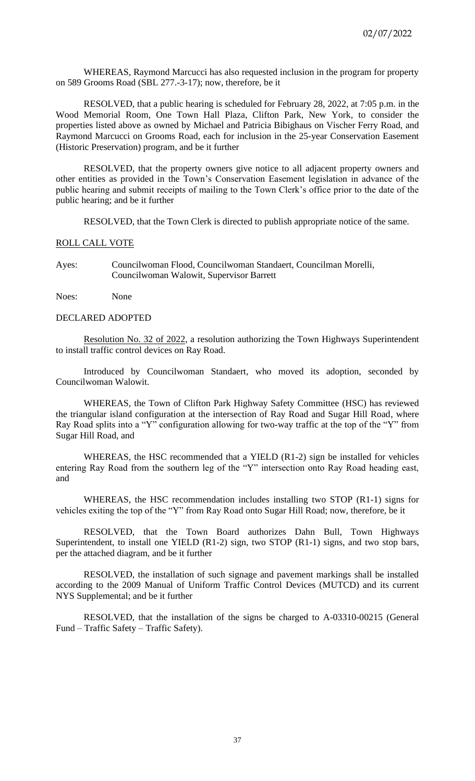WHEREAS, Raymond Marcucci has also requested inclusion in the program for property on 589 Grooms Road (SBL 277.-3-17); now, therefore, be it

RESOLVED, that a public hearing is scheduled for February 28, 2022, at 7:05 p.m. in the Wood Memorial Room, One Town Hall Plaza, Clifton Park, New York, to consider the properties listed above as owned by Michael and Patricia Bibighaus on Vischer Ferry Road, and Raymond Marcucci on Grooms Road, each for inclusion in the 25-year Conservation Easement (Historic Preservation) program, and be it further

RESOLVED, that the property owners give notice to all adjacent property owners and other entities as provided in the Town's Conservation Easement legislation in advance of the public hearing and submit receipts of mailing to the Town Clerk's office prior to the date of the public hearing; and be it further

RESOLVED, that the Town Clerk is directed to publish appropriate notice of the same.

#### ROLL CALL VOTE

Ayes: Councilwoman Flood, Councilwoman Standaert, Councilman Morelli, Councilwoman Walowit, Supervisor Barrett

Noes: None

## DECLARED ADOPTED

Resolution No. 32 of 2022, a resolution authorizing the Town Highways Superintendent to install traffic control devices on Ray Road.

Introduced by Councilwoman Standaert, who moved its adoption, seconded by Councilwoman Walowit.

WHEREAS, the Town of Clifton Park Highway Safety Committee (HSC) has reviewed the triangular island configuration at the intersection of Ray Road and Sugar Hill Road, where Ray Road splits into a "Y" configuration allowing for two-way traffic at the top of the "Y" from Sugar Hill Road, and

WHEREAS, the HSC recommended that a YIELD (R1-2) sign be installed for vehicles entering Ray Road from the southern leg of the "Y" intersection onto Ray Road heading east, and

WHEREAS, the HSC recommendation includes installing two STOP (R1-1) signs for vehicles exiting the top of the "Y" from Ray Road onto Sugar Hill Road; now, therefore, be it

RESOLVED, that the Town Board authorizes Dahn Bull, Town Highways Superintendent, to install one YIELD (R1-2) sign, two STOP (R1-1) signs, and two stop bars, per the attached diagram, and be it further

RESOLVED, the installation of such signage and pavement markings shall be installed according to the 2009 Manual of Uniform Traffic Control Devices (MUTCD) and its current NYS Supplemental; and be it further

RESOLVED, that the installation of the signs be charged to A-03310-00215 (General Fund – Traffic Safety – Traffic Safety).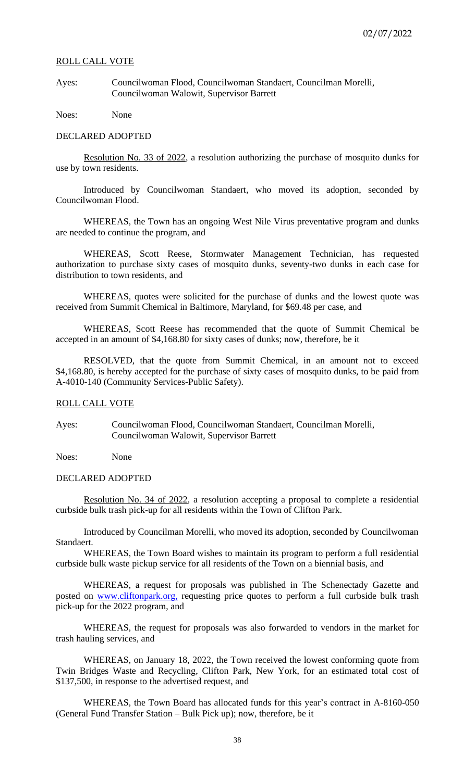#### ROLL CALL VOTE

Ayes: Councilwoman Flood, Councilwoman Standaert, Councilman Morelli, Councilwoman Walowit, Supervisor Barrett

Noes: None

#### DECLARED ADOPTED

Resolution No. 33 of 2022, a resolution authorizing the purchase of mosquito dunks for use by town residents.

Introduced by Councilwoman Standaert, who moved its adoption, seconded by Councilwoman Flood.

WHEREAS, the Town has an ongoing West Nile Virus preventative program and dunks are needed to continue the program, and

WHEREAS, Scott Reese, Stormwater Management Technician, has requested authorization to purchase sixty cases of mosquito dunks, seventy-two dunks in each case for distribution to town residents, and

WHEREAS, quotes were solicited for the purchase of dunks and the lowest quote was received from Summit Chemical in Baltimore, Maryland, for \$69.48 per case, and

WHEREAS, Scott Reese has recommended that the quote of Summit Chemical be accepted in an amount of \$4,168.80 for sixty cases of dunks; now, therefore, be it

RESOLVED, that the quote from Summit Chemical, in an amount not to exceed \$4,168.80, is hereby accepted for the purchase of sixty cases of mosquito dunks, to be paid from A-4010-140 (Community Services-Public Safety).

## ROLL CALL VOTE

Ayes: Councilwoman Flood, Councilwoman Standaert, Councilman Morelli, Councilwoman Walowit, Supervisor Barrett

Noes: None

#### DECLARED ADOPTED

Resolution No. 34 of 2022, a resolution accepting a proposal to complete a residential curbside bulk trash pick-up for all residents within the Town of Clifton Park.

Introduced by Councilman Morelli, who moved its adoption, seconded by Councilwoman Standaert.

WHEREAS, the Town Board wishes to maintain its program to perform a full residential curbside bulk waste pickup service for all residents of the Town on a biennial basis, and

WHEREAS, a request for proposals was published in The Schenectady Gazette and posted on [www.cliftonpark.org,](http://www.cliftonpark.org/) requesting price quotes to perform a full curbside bulk trash pick-up for the 2022 program, and

WHEREAS, the request for proposals was also forwarded to vendors in the market for trash hauling services, and

WHEREAS, on January 18, 2022, the Town received the lowest conforming quote from Twin Bridges Waste and Recycling, Clifton Park, New York, for an estimated total cost of \$137,500, in response to the advertised request, and

WHEREAS, the Town Board has allocated funds for this year's contract in A-8160-050 (General Fund Transfer Station – Bulk Pick up); now, therefore, be it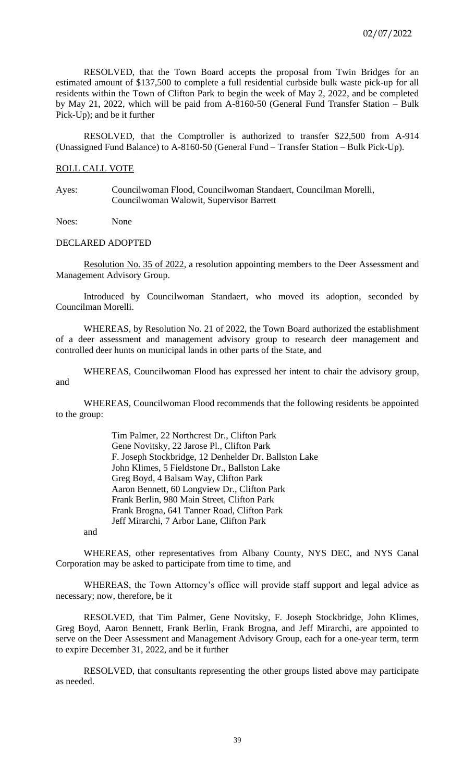RESOLVED, that the Town Board accepts the proposal from Twin Bridges for an estimated amount of \$137,500 to complete a full residential curbside bulk waste pick-up for all residents within the Town of Clifton Park to begin the week of May 2, 2022, and be completed by May 21, 2022, which will be paid from A-8160-50 (General Fund Transfer Station – Bulk Pick-Up); and be it further

RESOLVED, that the Comptroller is authorized to transfer \$22,500 from A-914 (Unassigned Fund Balance) to A-8160-50 (General Fund – Transfer Station – Bulk Pick-Up).

### ROLL CALL VOTE

Ayes: Councilwoman Flood, Councilwoman Standaert, Councilman Morelli, Councilwoman Walowit, Supervisor Barrett

Noes: None

#### DECLARED ADOPTED

Resolution No. 35 of 2022, a resolution appointing members to the Deer Assessment and Management Advisory Group.

Introduced by Councilwoman Standaert, who moved its adoption, seconded by Councilman Morelli.

WHEREAS, by Resolution No. 21 of 2022, the Town Board authorized the establishment of a deer assessment and management advisory group to research deer management and controlled deer hunts on municipal lands in other parts of the State, and

WHEREAS, Councilwoman Flood has expressed her intent to chair the advisory group, and

WHEREAS, Councilwoman Flood recommends that the following residents be appointed to the group:

> Tim Palmer, 22 Northcrest Dr., Clifton Park Gene Novitsky, 22 Jarose Pl., Clifton Park F. Joseph Stockbridge, 12 Denhelder Dr. Ballston Lake John Klimes, 5 Fieldstone Dr., Ballston Lake Greg Boyd, 4 Balsam Way, Clifton Park Aaron Bennett, 60 Longview Dr., Clifton Park Frank Berlin, 980 Main Street, Clifton Park Frank Brogna, 641 Tanner Road, Clifton Park Jeff Mirarchi, 7 Arbor Lane, Clifton Park

and

WHEREAS, other representatives from Albany County, NYS DEC, and NYS Canal Corporation may be asked to participate from time to time, and

WHEREAS, the Town Attorney's office will provide staff support and legal advice as necessary; now, therefore, be it

RESOLVED, that Tim Palmer, Gene Novitsky, F. Joseph Stockbridge, John Klimes, Greg Boyd, Aaron Bennett, Frank Berlin, Frank Brogna, and Jeff Mirarchi, are appointed to serve on the Deer Assessment and Management Advisory Group, each for a one-year term, term to expire December 31, 2022, and be it further

RESOLVED, that consultants representing the other groups listed above may participate as needed.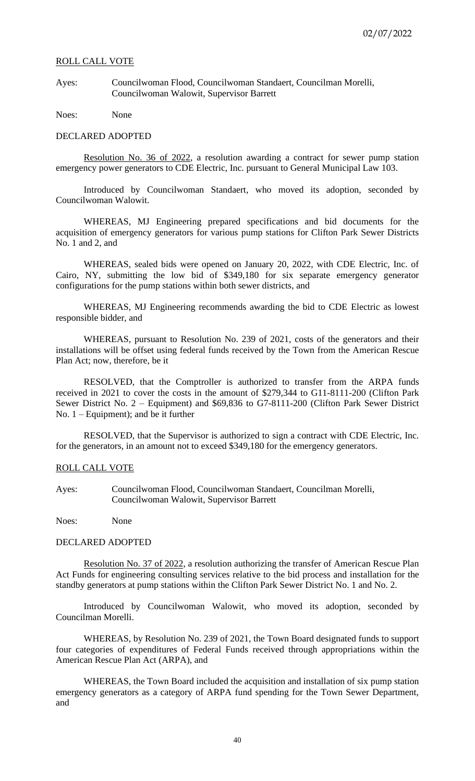## ROLL CALL VOTE

Ayes: Councilwoman Flood, Councilwoman Standaert, Councilman Morelli, Councilwoman Walowit, Supervisor Barrett

Noes: None

## DECLARED ADOPTED

Resolution No. 36 of 2022, a resolution awarding a contract for sewer pump station emergency power generators to CDE Electric, Inc. pursuant to General Municipal Law 103.

Introduced by Councilwoman Standaert, who moved its adoption, seconded by Councilwoman Walowit.

WHEREAS, MJ Engineering prepared specifications and bid documents for the acquisition of emergency generators for various pump stations for Clifton Park Sewer Districts No. 1 and 2, and

WHEREAS, sealed bids were opened on January 20, 2022, with CDE Electric, Inc. of Cairo, NY, submitting the low bid of \$349,180 for six separate emergency generator configurations for the pump stations within both sewer districts, and

WHEREAS, MJ Engineering recommends awarding the bid to CDE Electric as lowest responsible bidder, and

WHEREAS, pursuant to Resolution No. 239 of 2021, costs of the generators and their installations will be offset using federal funds received by the Town from the American Rescue Plan Act; now, therefore, be it

RESOLVED, that the Comptroller is authorized to transfer from the ARPA funds received in 2021 to cover the costs in the amount of \$279,344 to G11-8111-200 (Clifton Park Sewer District No. 2 – Equipment) and \$69,836 to G7-8111-200 (Clifton Park Sewer District No. 1 – Equipment); and be it further

RESOLVED, that the Supervisor is authorized to sign a contract with CDE Electric, Inc. for the generators, in an amount not to exceed \$349,180 for the emergency generators.

#### ROLL CALL VOTE

Ayes: Councilwoman Flood, Councilwoman Standaert, Councilman Morelli, Councilwoman Walowit, Supervisor Barrett

Noes: None

## DECLARED ADOPTED

Resolution No. 37 of 2022, a resolution authorizing the transfer of American Rescue Plan Act Funds for engineering consulting services relative to the bid process and installation for the standby generators at pump stations within the Clifton Park Sewer District No. 1 and No. 2.

Introduced by Councilwoman Walowit, who moved its adoption, seconded by Councilman Morelli.

WHEREAS, by Resolution No. 239 of 2021, the Town Board designated funds to support four categories of expenditures of Federal Funds received through appropriations within the American Rescue Plan Act (ARPA), and

WHEREAS, the Town Board included the acquisition and installation of six pump station emergency generators as a category of ARPA fund spending for the Town Sewer Department, and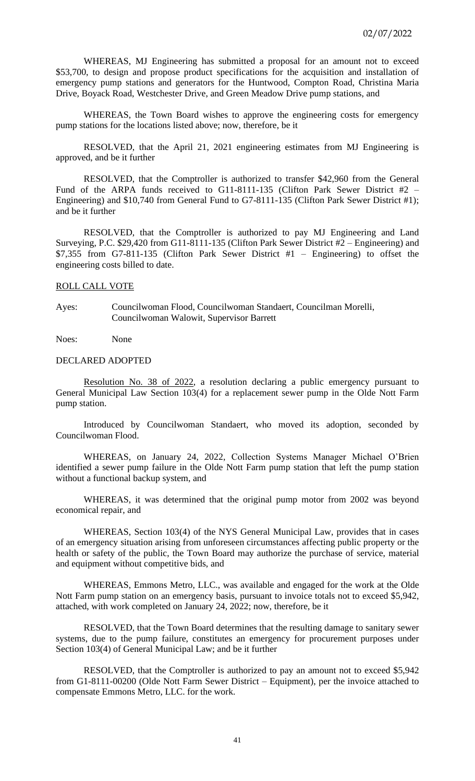WHEREAS, MJ Engineering has submitted a proposal for an amount not to exceed \$53,700, to design and propose product specifications for the acquisition and installation of emergency pump stations and generators for the Huntwood, Compton Road, Christina Maria Drive, Boyack Road, Westchester Drive, and Green Meadow Drive pump stations, and

WHEREAS, the Town Board wishes to approve the engineering costs for emergency pump stations for the locations listed above; now, therefore, be it

RESOLVED, that the April 21, 2021 engineering estimates from MJ Engineering is approved, and be it further

RESOLVED, that the Comptroller is authorized to transfer \$42,960 from the General Fund of the ARPA funds received to G11-8111-135 (Clifton Park Sewer District #2 – Engineering) and \$10,740 from General Fund to G7-8111-135 (Clifton Park Sewer District #1); and be it further

RESOLVED, that the Comptroller is authorized to pay MJ Engineering and Land Surveying, P.C. \$29,420 from G11-8111-135 (Clifton Park Sewer District #2 – Engineering) and \$7,355 from G7-811-135 (Clifton Park Sewer District #1 – Engineering) to offset the engineering costs billed to date.

### ROLL CALL VOTE

Ayes: Councilwoman Flood, Councilwoman Standaert, Councilman Morelli, Councilwoman Walowit, Supervisor Barrett

Noes: None

## DECLARED ADOPTED

Resolution No. 38 of 2022, a resolution declaring a public emergency pursuant to General Municipal Law Section 103(4) for a replacement sewer pump in the Olde Nott Farm pump station.

Introduced by Councilwoman Standaert, who moved its adoption, seconded by Councilwoman Flood.

WHEREAS, on January 24, 2022, Collection Systems Manager Michael O'Brien identified a sewer pump failure in the Olde Nott Farm pump station that left the pump station without a functional backup system, and

WHEREAS, it was determined that the original pump motor from 2002 was beyond economical repair, and

WHEREAS, Section 103(4) of the NYS General Municipal Law, provides that in cases of an emergency situation arising from unforeseen circumstances affecting public property or the health or safety of the public, the Town Board may authorize the purchase of service, material and equipment without competitive bids, and

WHEREAS, Emmons Metro, LLC., was available and engaged for the work at the Olde Nott Farm pump station on an emergency basis, pursuant to invoice totals not to exceed \$5,942, attached, with work completed on January 24, 2022; now, therefore, be it

RESOLVED, that the Town Board determines that the resulting damage to sanitary sewer systems, due to the pump failure, constitutes an emergency for procurement purposes under Section 103(4) of General Municipal Law; and be it further

RESOLVED, that the Comptroller is authorized to pay an amount not to exceed \$5,942 from G1-8111-00200 (Olde Nott Farm Sewer District – Equipment), per the invoice attached to compensate Emmons Metro, LLC. for the work.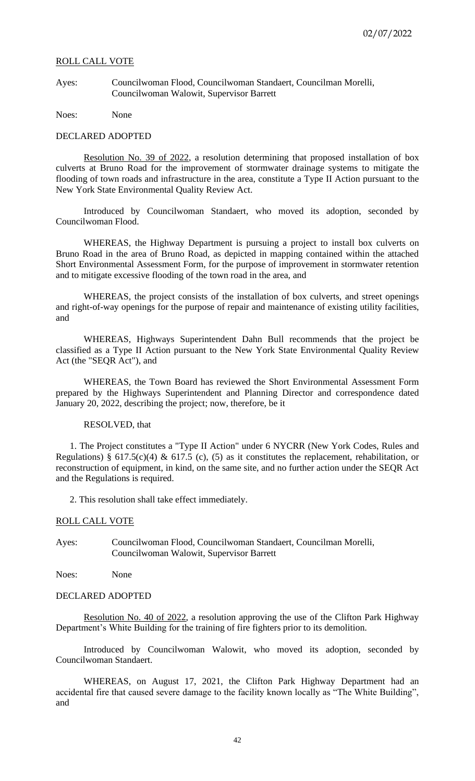## ROLL CALL VOTE

Ayes: Councilwoman Flood, Councilwoman Standaert, Councilman Morelli, Councilwoman Walowit, Supervisor Barrett

Noes: None

## DECLARED ADOPTED

Resolution No. 39 of 2022, a resolution determining that proposed installation of box culverts at Bruno Road for the improvement of stormwater drainage systems to mitigate the flooding of town roads and infrastructure in the area, constitute a Type II Action pursuant to the New York State Environmental Quality Review Act.

Introduced by Councilwoman Standaert, who moved its adoption, seconded by Councilwoman Flood.

WHEREAS, the Highway Department is pursuing a project to install box culverts on Bruno Road in the area of Bruno Road, as depicted in mapping contained within the attached Short Environmental Assessment Form, for the purpose of improvement in stormwater retention and to mitigate excessive flooding of the town road in the area, and

WHEREAS, the project consists of the installation of box culverts, and street openings and right-of-way openings for the purpose of repair and maintenance of existing utility facilities, and

WHEREAS, Highways Superintendent Dahn Bull recommends that the project be classified as a Type II Action pursuant to the New York State Environmental Quality Review Act (the "SEQR Act"), and

WHEREAS, the Town Board has reviewed the Short Environmental Assessment Form prepared by the Highways Superintendent and Planning Director and correspondence dated January 20, 2022, describing the project; now, therefore, be it

## RESOLVED, that

1. The Project constitutes a "Type II Action" under 6 NYCRR (New York Codes, Rules and Regulations) § 617.5(c)(4) & 617.5 (c), (5) as it constitutes the replacement, rehabilitation, or reconstruction of equipment, in kind, on the same site, and no further action under the SEQR Act and the Regulations is required.

2. This resolution shall take effect immediately.

## ROLL CALL VOTE

Ayes: Councilwoman Flood, Councilwoman Standaert, Councilman Morelli, Councilwoman Walowit, Supervisor Barrett

Noes: None

#### DECLARED ADOPTED

Resolution No. 40 of 2022, a resolution approving the use of the Clifton Park Highway Department's White Building for the training of fire fighters prior to its demolition.

Introduced by Councilwoman Walowit, who moved its adoption, seconded by Councilwoman Standaert.

WHEREAS, on August 17, 2021, the Clifton Park Highway Department had an accidental fire that caused severe damage to the facility known locally as "The White Building", and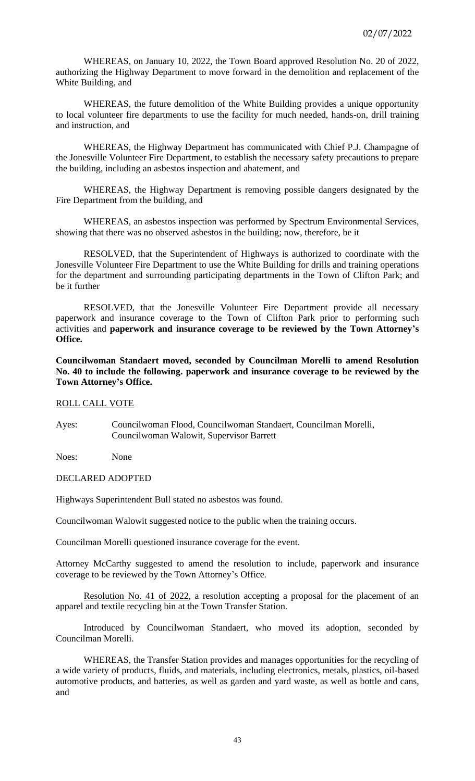WHEREAS, on January 10, 2022, the Town Board approved Resolution No. 20 of 2022, authorizing the Highway Department to move forward in the demolition and replacement of the White Building, and

WHEREAS, the future demolition of the White Building provides a unique opportunity to local volunteer fire departments to use the facility for much needed, hands-on, drill training and instruction, and

WHEREAS, the Highway Department has communicated with Chief P.J. Champagne of the Jonesville Volunteer Fire Department, to establish the necessary safety precautions to prepare the building, including an asbestos inspection and abatement, and

WHEREAS, the Highway Department is removing possible dangers designated by the Fire Department from the building, and

WHEREAS, an asbestos inspection was performed by Spectrum Environmental Services, showing that there was no observed asbestos in the building; now, therefore, be it

RESOLVED, that the Superintendent of Highways is authorized to coordinate with the Jonesville Volunteer Fire Department to use the White Building for drills and training operations for the department and surrounding participating departments in the Town of Clifton Park; and be it further

RESOLVED, that the Jonesville Volunteer Fire Department provide all necessary paperwork and insurance coverage to the Town of Clifton Park prior to performing such activities and **paperwork and insurance coverage to be reviewed by the Town Attorney's Office.**

**Councilwoman Standaert moved, seconded by Councilman Morelli to amend Resolution No. 40 to include the following. paperwork and insurance coverage to be reviewed by the Town Attorney's Office.**

## ROLL CALL VOTE

Ayes: Councilwoman Flood, Councilwoman Standaert, Councilman Morelli, Councilwoman Walowit, Supervisor Barrett

Noes: None

## DECLARED ADOPTED

Highways Superintendent Bull stated no asbestos was found.

Councilwoman Walowit suggested notice to the public when the training occurs.

Councilman Morelli questioned insurance coverage for the event.

Attorney McCarthy suggested to amend the resolution to include, paperwork and insurance coverage to be reviewed by the Town Attorney's Office.

Resolution No. 41 of 2022, a resolution accepting a proposal for the placement of an apparel and textile recycling bin at the Town Transfer Station.

Introduced by Councilwoman Standaert, who moved its adoption, seconded by Councilman Morelli.

WHEREAS, the Transfer Station provides and manages opportunities for the recycling of a wide variety of products, fluids, and materials, including electronics, metals, plastics, oil-based automotive products, and batteries, as well as garden and yard waste, as well as bottle and cans, and